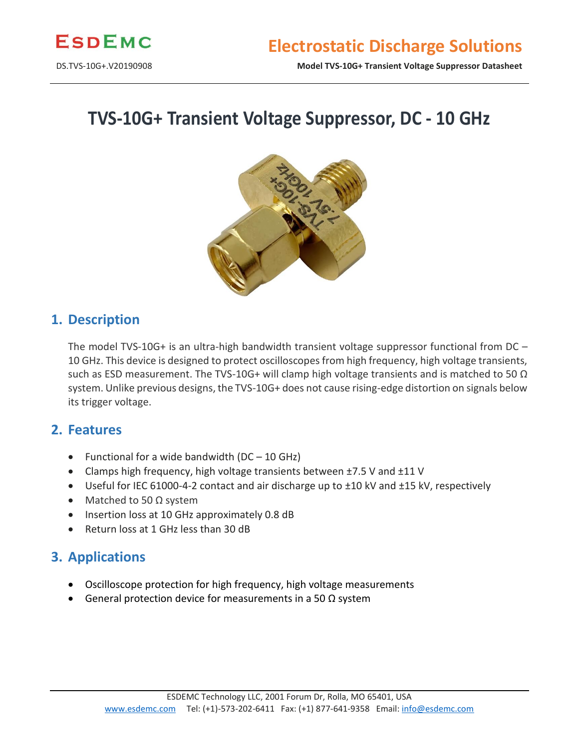

DS.TVS-10G+.V20190908 **Model TVS-10G+ Transient Voltage Suppressor Datasheet**

# **TVS-10G+ Transient Voltage Suppressor, DC - 10 GHz**



### **1. Description**

The model TVS-10G+ is an ultra-high bandwidth transient voltage suppressor functional from DC – 10 GHz. This device is designed to protect oscilloscopes from high frequency, high voltage transients, such as ESD measurement. The TVS-10G+ will clamp high voltage transients and is matched to 50  $\Omega$ system. Unlike previous designs, the TVS-10G+ does not cause rising-edge distortion on signals below its trigger voltage.

#### **2. Features**

- Functional for a wide bandwidth  $(DC 10$  GHz)
- Clamps high frequency, high voltage transients between ±7.5 V and ±11 V
- Useful for IEC 61000-4-2 contact and air discharge up to ±10 kV and ±15 kV, respectively
- Matched to 50 Ω system
- Insertion loss at 10 GHz approximately 0.8 dB
- Return loss at 1 GHz less than 30 dB

## **3. Applications**

- Oscilloscope protection for high frequency, high voltage measurements
- General protection device for measurements in a 50  $\Omega$  system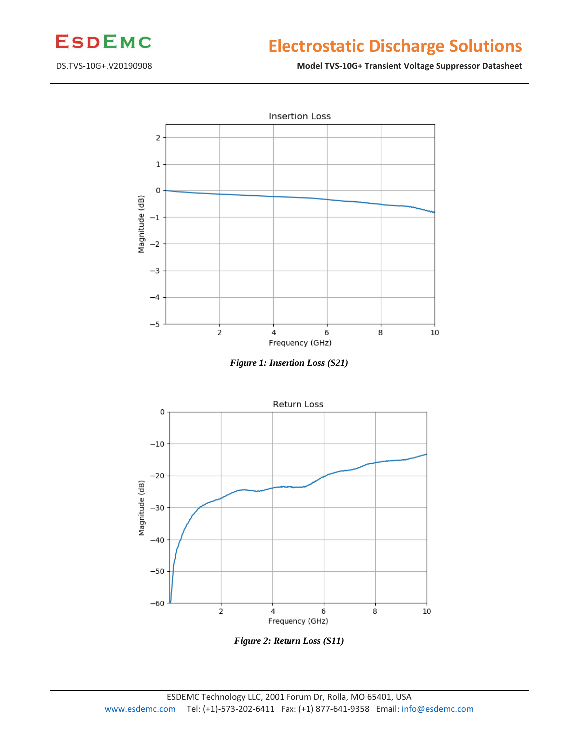

# **Electrostatic Discharge Solutions**

#### DS.TVS-10G+.V20190908 **Model TVS-10G+ Transient Voltage Suppressor Datasheet**







*Figure 2: Return Loss (S11)*